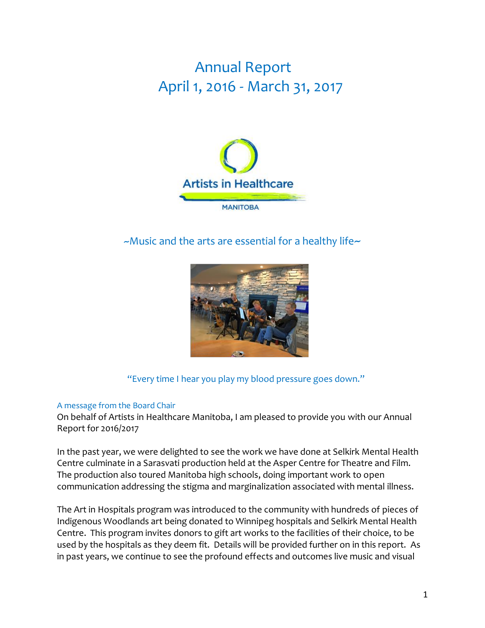# Annual Report April 1, 2016 - March 31, 2017



 $\sim$ Music and the arts are essential for a healthy life $\sim$ 



"Every time I hear you play my blood pressure goes down."

# A message from the Board Chair

On behalf of Artists in Healthcare Manitoba, I am pleased to provide you with our Annual Report for 2016/2017

In the past year, we were delighted to see the work we have done at Selkirk Mental Health Centre culminate in a Sarasvati production held at the Asper Centre for Theatre and Film. The production also toured Manitoba high schools, doing important work to open communication addressing the stigma and marginalization associated with mental illness.

The Art in Hospitals program was introduced to the community with hundreds of pieces of Indigenous Woodlands art being donated to Winnipeg hospitals and Selkirk Mental Health Centre. This program invites donors to gift art works to the facilities of their choice, to be used by the hospitals as they deem fit. Details will be provided further on in this report. As in past years, we continue to see the profound effects and outcomes live music and visual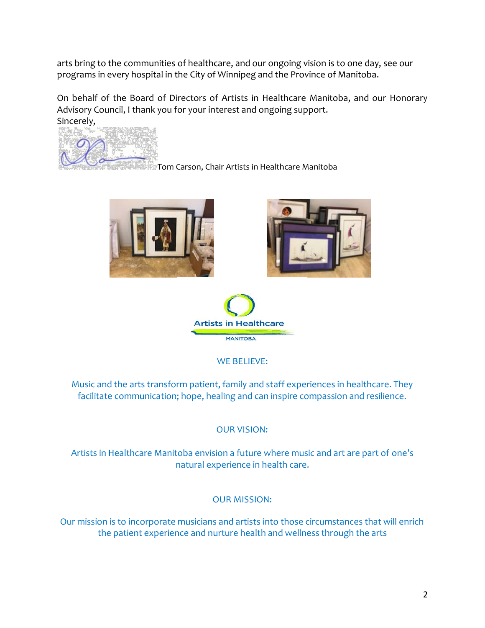arts bring to the communities of healthcare, and our ongoing vision is to one day, see our programs in every hospital in the City of Winnipeg and the Province of Manitoba.

On behalf of the Board of Directors of Artists in Healthcare Manitoba, and our Honorary Advisory Council, I thank you for your interest and ongoing support. Sincerely,



Tom Carson, Chair Artists in Healthcare Manitoba







WE BELIEVE:

Music and the arts transform patient, family and staff experiences in healthcare. They facilitate communication; hope, healing and can inspire compassion and resilience.

OUR VISION:

Artists in Healthcare Manitoba envision a future where music and art are part of one's natural experience in health care.

# OUR MISSION:

Our mission is to incorporate musicians and artists into those circumstances that will enrich the patient experience and nurture health and wellness through the arts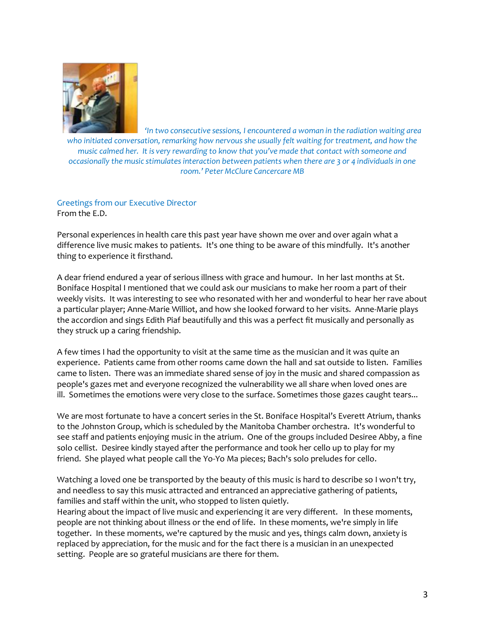

*'In two consecutive sessions, I encountered a woman in the radiation waiting area who initiated conversation, remarking how nervous she usually felt waiting for treatment, and how the music calmed her. It is very rewarding to know that you've made that contact with someone and occasionally the music stimulates interaction between patients when there are 3 or 4 individuals in one room.' Peter McClure Cancercare MB* 

Greetings from our Executive Director From the E.D.

Personal experiences in health care this past year have shown me over and over again what a difference live music makes to patients. It's one thing to be aware of this mindfully. It's another thing to experience it firsthand.

A dear friend endured a year of serious illness with grace and humour. In her last months at St. Boniface Hospital I mentioned that we could ask our musicians to make her room a part of their weekly visits. It was interesting to see who resonated with her and wonderful to hear her rave about a particular player; Anne-Marie Williot, and how she looked forward to her visits. Anne-Marie plays the accordion and sings Edith Piaf beautifully and this was a perfect fit musically and personally as they struck up a caring friendship.

A few times I had the opportunity to visit at the same time as the musician and it was quite an experience. Patients came from other rooms came down the hall and sat outside to listen. Families came to listen. There was an immediate shared sense of joy in the music and shared compassion as people's gazes met and everyone recognized the vulnerability we all share when loved ones are ill. Sometimes the emotions were very close to the surface. Sometimes those gazes caught tears...

We are most fortunate to have a concert series in the St. Boniface Hospital's Everett Atrium, thanks to the Johnston Group, which is scheduled by the Manitoba Chamber orchestra. It's wonderful to see staff and patients enjoying music in the atrium. One of the groups included Desiree Abby, a fine solo cellist. Desiree kindly stayed after the performance and took her cello up to play for my friend. She played what people call the Yo-Yo Ma pieces; Bach's solo preludes for cello.

Watching a loved one be transported by the beauty of this music is hard to describe so I won't try, and needless to say this music attracted and entranced an appreciative gathering of patients, families and staff within the unit, who stopped to listen quietly.

Hearing about the impact of live music and experiencing it are very different. In these moments, people are not thinking about illness or the end of life. In these moments, we're simply in life together. In these moments, we're captured by the music and yes, things calm down, anxiety is replaced by appreciation, for the music and for the fact there is a musician in an unexpected setting. People are so grateful musicians are there for them.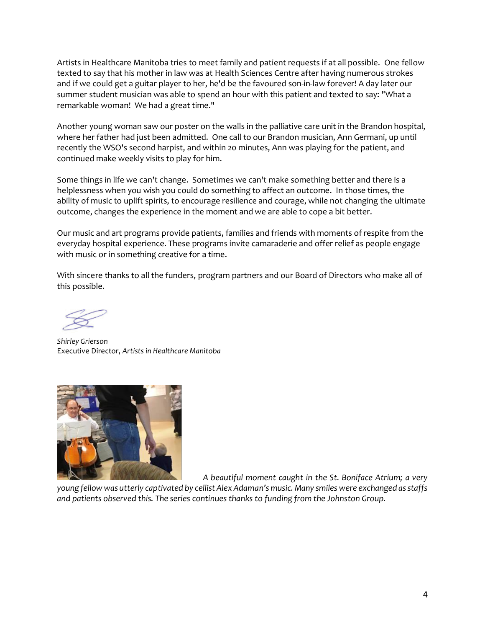Artists in Healthcare Manitoba tries to meet family and patient requests if at all possible. One fellow texted to say that his mother in law was at Health Sciences Centre after having numerous strokes and if we could get a guitar player to her, he'd be the favoured son-in-law forever! A day later our summer student musician was able to spend an hour with this patient and texted to say: "What a remarkable woman! We had a great time."

Another young woman saw our poster on the walls in the palliative care unit in the Brandon hospital, where her father had just been admitted. One call to our Brandon musician, Ann Germani, up until recently the WSO's second harpist, and within 20 minutes, Ann was playing for the patient, and continued make weekly visits to play for him.

Some things in life we can't change. Sometimes we can't make something better and there is a helplessness when you wish you could do something to affect an outcome. In those times, the ability of music to uplift spirits, to encourage resilience and courage, while not changing the ultimate outcome, changes the experience in the moment and we are able to cope a bit better.

Our music and art programs provide patients, families and friends with moments of respite from the everyday hospital experience. These programs invite camaraderie and offer relief as people engage with music or in something creative for a time.

With sincere thanks to all the funders, program partners and our Board of Directors who make all of this possible.

*Shirley Grierson* Executive Director, *Artists in Healthcare Manitoba*



*A beautiful moment caught in the St. Boniface Atrium; a very* 

*young fellow was utterly captivated by cellist Alex Adaman's music. Many smiles were exchanged as staffs and patients observed this. The series continues thanks to funding from the Johnston Group.*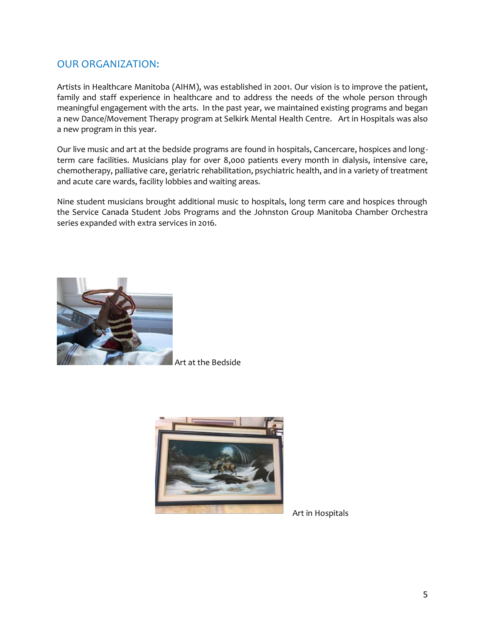# OUR ORGANIZATION:

Artists in Healthcare Manitoba (AIHM), was established in 2001. Our vision is to improve the patient, family and staff experience in healthcare and to address the needs of the whole person through meaningful engagement with the arts.In the past year, we maintained existing programs and began a new Dance/Movement Therapy program at Selkirk Mental Health Centre. Art in Hospitals was also a new program in this year.

Our live music and art at the bedside programs are found in hospitals, Cancercare, hospices and longterm care facilities. Musicians play for over 8,000 patients every month in dialysis, intensive care, chemotherapy, palliative care, geriatric rehabilitation, psychiatric health, and in a variety of treatment and acute care wards, facility lobbies and waiting areas.

Nine student musicians brought additional music to hospitals, long term care and hospices through the Service Canada Student Jobs Programs and the Johnston Group Manitoba Chamber Orchestra series expanded with extra services in 2016.



Art at the Bedside



Art in Hospitals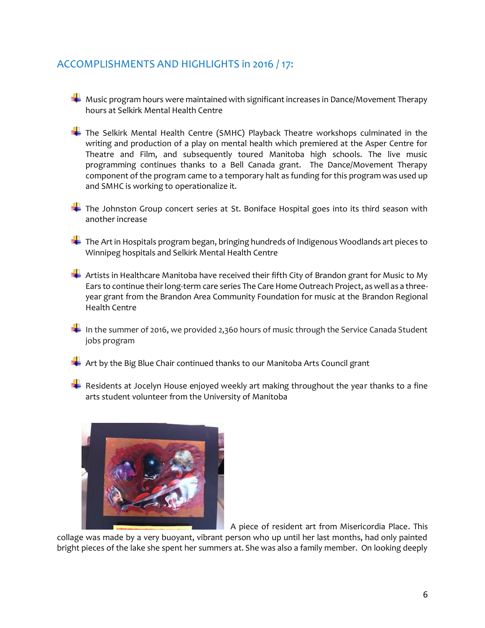# ACCOMPLISHMENTS AND HIGHLIGHTS in 2016 / 17:

- $\blacktriangleright$  Music program hours were maintained with significant increases in Dance/Movement Therapy hours at Selkirk Mental Health Centre
- The Selkirk Mental Health Centre (SMHC) Playback Theatre workshops culminated in the writing and production of a play on mental health which premiered at the Asper Centre for Theatre and Film, and subsequently toured Manitoba high schools. The live music programming continues thanks to a Bell Canada grant. The Dance/Movement Therapy component of the program came to a temporary halt as funding for this program was used up and SMHC is working to operationalize it.
- The Johnston Group concert series at St. Boniface Hospital goes into its third season with another increase
- The Art in Hospitals program began, bringing hundreds of Indigenous Woodlands art pieces to Winnipeg hospitals and Selkirk Mental Health Centre
- Artists in Healthcare Manitoba have received their fifth City of Brandon grant for Music to My Ears to continue their long-term care series The Care Home Outreach Project, as well as a threeyear grant from the Brandon Area Community Foundation for music at the Brandon Regional Health Centre
- In the summer of 2016, we provided 2,360 hours of music through the Service Canada Student jobs program
- $\blacksquare$  Art by the Big Blue Chair continued thanks to our Manitoba Arts Council grant
- $\blacktriangleright$  Residents at Jocelyn House enjoyed weekly art making throughout the year thanks to a fine arts student volunteer from the University of Manitoba



A piece of resident art from Misericordia Place. This

collage was made by a very buoyant, vibrant person who up until her last months, had only painted bright pieces of the lake she spent her summers at. She was also a family member. On looking deeply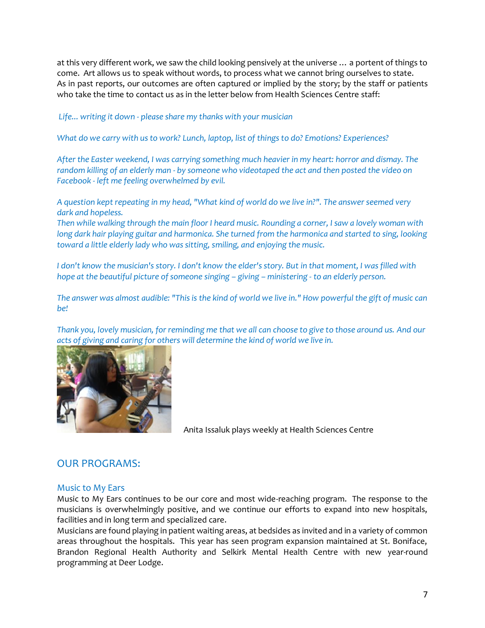at this very different work, we saw the child looking pensively at the universe … a portent of things to come. Art allows us to speak without words, to process what we cannot bring ourselves to state. As in past reports, our outcomes are often captured or implied by the story; by the staff or patients who take the time to contact us as in the letter below from Health Sciences Centre staff:

## *Life... writing it down - please share my thanks with your musician*

*What do we carry with us to work? Lunch, laptop, list of things to do? Emotions? Experiences?*

*After the Easter weekend, I was carrying something much heavier in my heart: horror and dismay. The random killing of an elderly man - by someone who videotaped the act and then posted the video on Facebook - left me feeling overwhelmed by evil.* 

*A question kept repeating in my head, "What kind of world do we live in?". The answer seemed very dark and hopeless.*

*Then while walking through the main floor I heard music. Rounding a corner, I saw a lovely woman with long dark hair playing guitar and harmonica. She turned from the harmonica and started to sing, looking toward a little elderly lady who was sitting, smiling, and enjoying the music.*

*I don't know the musician's story. I don't know the elder's story. But in that moment, I was filled with hope at the beautiful picture of someone singing – giving – ministering - to an elderly person.* 

*The answer was almost audible: "This is the kind of world we live in." How powerful the gift of music can be!*

*Thank you, lovely musician, for reminding me that we all can choose to give to those around us. And our acts of giving and caring for others will determine the kind of world we live in.*



Anita Issaluk plays weekly at Health Sciences Centre

# OUR PROGRAMS:

#### Music to My Ears

Music to My Ears continues to be our core and most wide-reaching program. The response to the musicians is overwhelmingly positive, and we continue our efforts to expand into new hospitals, facilities and in long term and specialized care.

Musicians are found playing in patient waiting areas, at bedsides as invited and in a variety of common areas throughout the hospitals. This year has seen program expansion maintained at St. Boniface, Brandon Regional Health Authority and Selkirk Mental Health Centre with new year-round programming at Deer Lodge.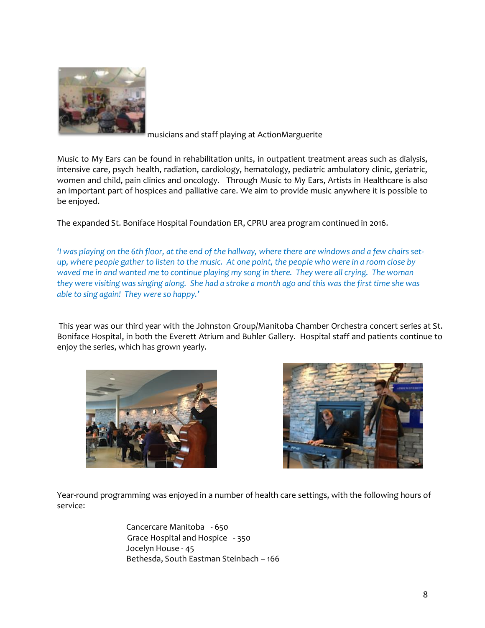

musicians and staff playing at ActionMarguerite

Music to My Ears can be found in rehabilitation units, in outpatient treatment areas such as dialysis, intensive care, psych health, radiation, cardiology, hematology, pediatric ambulatory clinic, geriatric, women and child, pain clinics and oncology. Through Music to My Ears, Artists in Healthcare is also an important part of hospices and palliative care. We aim to provide music anywhere it is possible to be enjoyed.

The expanded St. Boniface Hospital Foundation ER, CPRU area program continued in 2016.

*'I was playing on the 6th floor, at the end of the hallway, where there are windows and a few chairs setup, where people gather to listen to the music. At one point, the people who were in a room close by waved me in and wanted me to continue playing my song in there. They were all crying. The woman they were visiting was singing along. She had a stroke a month ago and this was the first time she was able to sing again! They were so happy.'*

This year was our third year with the Johnston Group/Manitoba Chamber Orchestra concert series at St. Boniface Hospital, in both the Everett Atrium and Buhler Gallery. Hospital staff and patients continue to enjoy the series, which has grown yearly.





Year-round programming was enjoyed in a number of health care settings, with the following hours of service:

> Cancercare Manitoba - 650 Grace Hospital and Hospice - 350 Jocelyn House - 45 Bethesda, South Eastman Steinbach – 166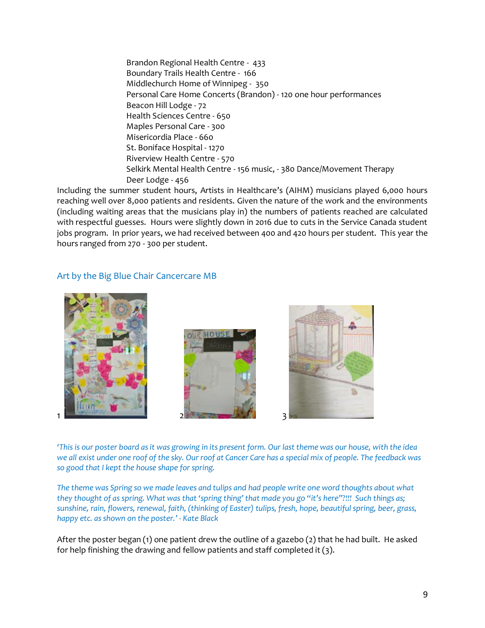Brandon Regional Health Centre - 433 Boundary Trails Health Centre - 166 Middlechurch Home of Winnipeg - 350 Personal Care Home Concerts (Brandon) - 120 one hour performances Beacon Hill Lodge - 72 Health Sciences Centre - 650 Maples Personal Care - 300 Misericordia Place - 660 St. Boniface Hospital - 1270 Riverview Health Centre - 570 Selkirk Mental Health Centre - 156 music, - 380 Dance/Movement Therapy Deer Lodge - 456

Including the summer student hours, Artists in Healthcare's (AIHM) musicians played 6,000 hours reaching well over 8,000 patients and residents. Given the nature of the work and the environments (including waiting areas that the musicians play in) the numbers of patients reached are calculated with respectful guesses. Hours were slightly down in 2016 due to cuts in the Service Canada student jobs program. In prior years, we had received between 400 and 420 hours per student. This year the hours ranged from 270 - 300 per student.

#### Art by the Big Blue Chair Cancercare MB



*'This is our poster board as it was growing in its present form. Our last theme was our house, with the idea we all exist under one roof of the sky. Our roof at Cancer Care has a special mix of people. The feedback was so good that I kept the house shape for spring.*

*The theme was Spring so we made leaves and tulips and had people write one word thoughts about what they thought of as spring. What was that 'spring thing' that made you go "it's here"?!!! Such things as; sunshine, rain, flowers, renewal, faith, (thinking of Easter) tulips, fresh, hope, beautiful spring, beer, grass, happy etc. as shown on the poster.' - Kate Black* 

After the poster began (1) one patient drew the outline of a gazebo (2) that he had built. He asked for help finishing the drawing and fellow patients and staff completed it (3).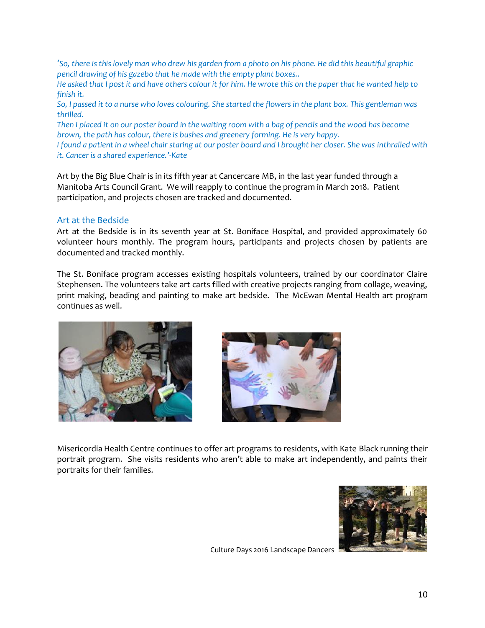'*So, there is this lovely man who drew his garden from a photo on his phone. He did this beautiful graphic pencil drawing of his gazebo that he made with the empty plant boxes..*

*He asked that I post it and have others colour it for him. He wrote this on the paper that he wanted help to finish it.*

*So, I passed it to a nurse who loves colouring. She started the flowers in the plant box. This gentleman was thrilled.*

*Then I placed it on our poster board in the waiting room with a bag of pencils and the wood has become brown, the path has colour, there is bushes and greenery forming. He is very happy.*

*I found a patient in a wheel chair staring at our poster board and I brought her closer. She was inthralled with it. Cancer is a shared experience.'-Kate*

Art by the Big Blue Chair is in its fifth year at Cancercare MB, in the last year funded through a Manitoba Arts Council Grant. We will reapply to continue the program in March 2018. Patient participation, and projects chosen are tracked and documented.

#### Art at the Bedside

Art at the Bedside is in its seventh year at St. Boniface Hospital, and provided approximately 60 volunteer hours monthly. The program hours, participants and projects chosen by patients are documented and tracked monthly.

The St. Boniface program accesses existing hospitals volunteers, trained by our coordinator Claire Stephensen. The volunteers take art carts filled with creative projects ranging from collage, weaving, print making, beading and painting to make art bedside. The McEwan Mental Health art program continues as well.





Misericordia Health Centre continues to offer art programs to residents, with Kate Black running their portrait program. She visits residents who aren't able to make art independently, and paints their portraits for their families.



Culture Days 2016 Landscape Dancers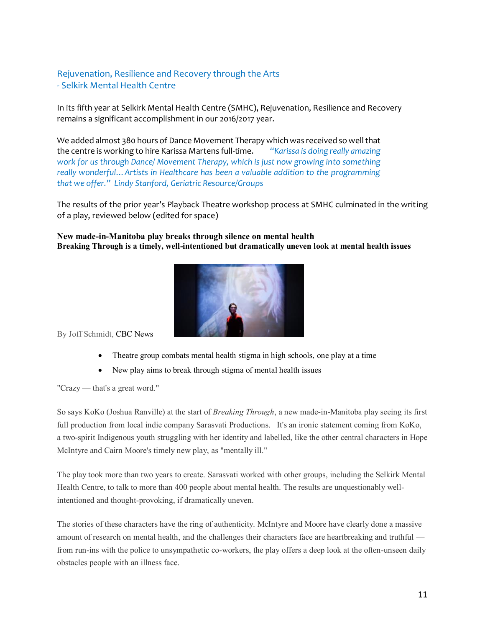# Rejuvenation, Resilience and Recovery through the Arts - Selkirk Mental Health Centre

In its fifth year at Selkirk Mental Health Centre (SMHC), Rejuvenation, Resilience and Recovery remains a significant accomplishment in our 2016/2017 year.

We added almost 380 hours of Dance Movement Therapy which was received so well that the centre is working to hire Karissa Martens full-time. *"Karissa is doing really amazing work for us through Dance/ Movement Therapy, which is just now growing into something really wonderful…Artists in Healthcare has been a valuable addition to the programming that we offer." Lindy Stanford, Geriatric Resource/Groups*

The results of the prior year's Playback Theatre workshop process at SMHC culminated in the writing of a play, reviewed below (edited for space)

**New made-in-Manitoba play breaks through silence on mental health Breaking Through is a timely, well-intentioned but dramatically uneven look at mental health issues**



By Joff Schmidt, [CBC News](http://www.cbc.ca/news/cbc-news-online-news-staff-list-1.1294364) 

- [Theatre group combats mental health stigma in high schools, one play at a time](http://www.cbc.ca/news/canada/manitoba/theatre-mental-health-1.3795319)
- New play aims to break through stigma of mental health issues

"Crazy — that's a great word."

So says KoKo (Joshua Ranville) at the start of *Breaking Through*, a new made-in-Manitoba play seeing its first full production from local indie company Sarasvati Productions. It's an ironic statement coming from KoKo, a two-spirit Indigenous youth struggling with her identity and labelled, like the other central characters in Hope McIntyre and Cairn Moore's timely new play, as "mentally ill."

The play took more than two years to create. Sarasvati worked with other groups, including the Selkirk Mental Health Centre, to talk to more than 400 people about mental health. The results are unquestionably wellintentioned and thought-provoking, if dramatically uneven.

The stories of these characters have the ring of authenticity. McIntyre and Moore have clearly done a massive amount of research on mental health, and the challenges their characters face are heartbreaking and truthful from run-ins with the police to unsympathetic co-workers, the play offers a deep look at the often-unseen daily obstacles people with an illness face.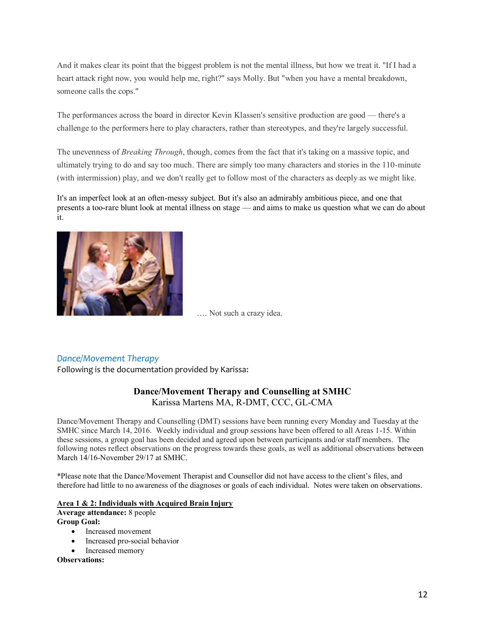And it makes clear its point that the biggest problem is not the mental illness, but how we treat it. "If I had a heart attack right now, you would help me, right?" says Molly. But "when you have a mental breakdown, someone calls the cops."

The performances across the board in director Kevin Klassen's sensitive production are good — there's a challenge to the performers here to play characters, rather than stereotypes, and they're largely successful.

The unevenness of *Breaking Through*, though, comes from the fact that it's taking on a massive topic, and ultimately trying to do and say too much. There are simply too many characters and stories in the 110-minute (with intermission) play, and we don't really get to follow most of the characters as deeply as we might like.

It's an imperfect look at an often-messy subject. But it's also an admirably ambitious piece, and one that presents a too-rare blunt look at mental illness on stage — and aims to make us question what we can do about it.



…. Not such a crazy idea.

## *Dance/Movement Therapy*

Following is the documentation provided by Karissa:

## **Dance/Movement Therapy and Counselling at SMHC** Karissa Martens MA, R-DMT, CCC, GL-CMA

Dance/Movement Therapy and Counselling (DMT) sessions have been running every Monday and Tuesday at the SMHC since March 14, 2016. Weekly individual and group sessions have been offered to all Areas 1-15. Within these sessions, a group goal has been decided and agreed upon between participants and/or staff members. The following notes reflect observations on the progress towards these goals, as well as additional observations between March 14/16-November 29/17 at SMHC.

\*Please note that the Dance/Movement Therapist and Counsellor did not have access to the client's files, and therefore had little to no awareness of the diagnoses or goals of each individual. Notes were taken on observations.

#### **Area 1 & 2: Individuals with Acquired Brain Injury**

**Average attendance:** 8 people **Group Goal:** 

- Increased movement
- Increased pro-social behavior
- Increased memory

#### **Observations:**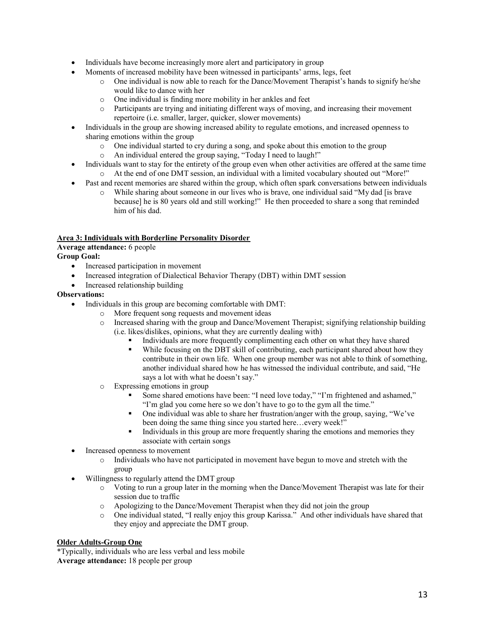- Individuals have become increasingly more alert and participatory in group
- Moments of increased mobility have been witnessed in participants' arms, legs, feet
	- $\circ$  One individual is now able to reach for the Dance/Movement Therapist's hands to signify he/she would like to dance with her
	- o One individual is finding more mobility in her ankles and feet
	- o Participants are trying and initiating different ways of moving, and increasing their movement repertoire (i.e. smaller, larger, quicker, slower movements)
- Individuals in the group are showing increased ability to regulate emotions, and increased openness to sharing emotions within the group
	- o One individual started to cry during a song, and spoke about this emotion to the group
	- o An individual entered the group saying, "Today I need to laugh!"
- Individuals want to stay for the entirety of the group even when other activities are offered at the same time o At the end of one DMT session, an individual with a limited vocabulary shouted out "More!"
- Past and recent memories are shared within the group, which often spark conversations between individuals
	- o While sharing about someone in our lives who is brave, one individual said "My dad [is brave because] he is 80 years old and still working!" He then proceeded to share a song that reminded him of his dad.

#### **Area 3: Individuals with Borderline Personality Disorder**

#### **Average attendance:** 6 people

#### **Group Goal:**

- Increased participation in movement
- Increased integration of Dialectical Behavior Therapy (DBT) within DMT session
- Increased relationship building

#### **Observations:**

- Individuals in this group are becoming comfortable with DMT:
	- o More frequent song requests and movement ideas
	- $\circ$  Increased sharing with the group and Dance/Movement Therapist; signifying relationship building (i.e. likes/dislikes, opinions, what they are currently dealing with)
		- Individuals are more frequently complimenting each other on what they have shared
		- While focusing on the DBT skill of contributing, each participant shared about how they contribute in their own life. When one group member was not able to think of something, another individual shared how he has witnessed the individual contribute, and said, "He says a lot with what he doesn't say."
	- o Expressing emotions in group
		- Some shared emotions have been: "I need love today," "I'm frightened and ashamed," "I'm glad you come here so we don't have to go to the gym all the time."
		- One individual was able to share her frustration/anger with the group, saying, "We've been doing the same thing since you started here...every week!"
		- Individuals in this group are more frequently sharing the emotions and memories they associate with certain songs
- Increased openness to movement
	- o Individuals who have not participated in movement have begun to move and stretch with the group
- Willingness to regularly attend the DMT group
	- o Voting to run a group later in the morning when the Dance/Movement Therapist was late for their session due to traffic
	- o Apologizing to the Dance/Movement Therapist when they did not join the group
	- o One individual stated, "I really enjoy this group Karissa." And other individuals have shared that they enjoy and appreciate the DMT group.

#### **Older Adults-Group One**

\*Typically, individuals who are less verbal and less mobile **Average attendance:** 18 people per group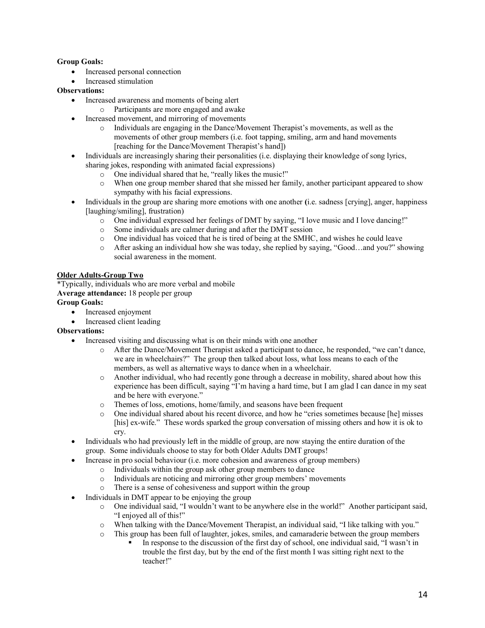#### **Group Goals:**

- Increased personal connection
- Increased stimulation

#### **Observations:**

- Increased awareness and moments of being alert
	- o Participants are more engaged and awake
- Increased movement, and mirroring of movements
	- o Individuals are engaging in the Dance/Movement Therapist's movements, as well as the movements of other group members (i.e. foot tapping, smiling, arm and hand movements [reaching for the Dance/Movement Therapist's hand])
- Individuals are increasingly sharing their personalities (i.e. displaying their knowledge of song lyrics, sharing jokes, responding with animated facial expressions)
	- o One individual shared that he, "really likes the music!"
	- o When one group member shared that she missed her family, another participant appeared to show sympathy with his facial expressions.
- Individuals in the group are sharing more emotions with one another **(**i.e. sadness [crying], anger, happiness [laughing/smiling], frustration)
	- o One individual expressed her feelings of DMT by saying, "I love music and I love dancing!"
	- o Some individuals are calmer during and after the DMT session
	- o One individual has voiced that he is tired of being at the SMHC, and wishes he could leave
	- o After asking an individual how she was today, she replied by saying, "Good…and you?" showing social awareness in the moment.

#### **Older Adults-Group Two**

\*Typically, individuals who are more verbal and mobile **Average attendance:** 18 people per group

# **Group Goals:**

- Increased enjoyment
- Increased client leading

#### **Observations:**

- Increased visiting and discussing what is on their minds with one another
	- o After the Dance/Movement Therapist asked a participant to dance, he responded, "we can't dance, we are in wheelchairs?" The group then talked about loss, what loss means to each of the members, as well as alternative ways to dance when in a wheelchair.
	- o Another individual, who had recently gone through a decrease in mobility, shared about how this experience has been difficult, saying "I'm having a hard time, but I am glad I can dance in my seat and be here with everyone."
	- o Themes of loss, emotions, home/family, and seasons have been frequent
	- o One individual shared about his recent divorce, and how he "cries sometimes because [he] misses [his] ex-wife." These words sparked the group conversation of missing others and how it is ok to cry.
- Individuals who had previously left in the middle of group, are now staying the entire duration of the group. Some individuals choose to stay for both Older Adults DMT groups!
- Increase in pro social behaviour (i.e. more cohesion and awareness of group members)
	- o Individuals within the group ask other group members to dance
	- o Individuals are noticing and mirroring other group members' movements
	- o There is a sense of cohesiveness and support within the group
- Individuals in DMT appear to be enjoying the group
	- o One individual said, "I wouldn't want to be anywhere else in the world!" Another participant said, "I enjoyed all of this!"
	- o When talking with the Dance/Movement Therapist, an individual said, "I like talking with you."
	- o This group has been full of laughter, jokes, smiles, and camaraderie between the group members
		- In response to the discussion of the first day of school, one individual said, "I wasn't in trouble the first day, but by the end of the first month I was sitting right next to the teacher!"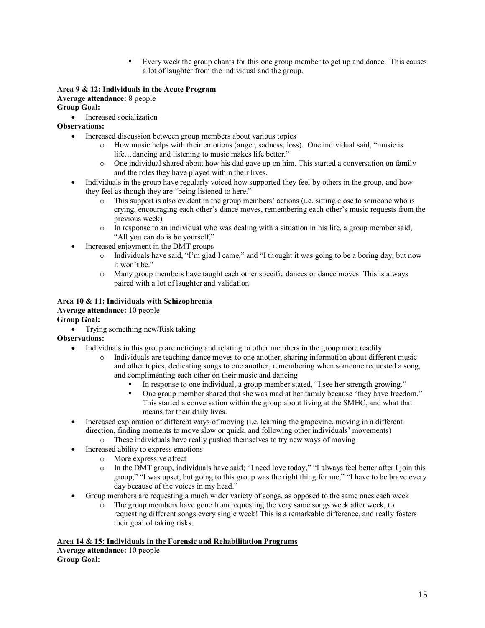▪ Every week the group chants for this one group member to get up and dance. This causes a lot of laughter from the individual and the group.

#### **Area 9 & 12: Individuals in the Acute Program**

**Average attendance:** 8 people **Group Goal:** 

• Increased socialization

**Observations:** 

- Increased discussion between group members about various topics
	- o How music helps with their emotions (anger, sadness, loss). One individual said, "music is life…dancing and listening to music makes life better."
	- $\circ$  One individual shared about how his dad gave up on him. This started a conversation on family and the roles they have played within their lives.
- Individuals in the group have regularly voiced how supported they feel by others in the group, and how they feel as though they are "being listened to here."
	- o This support is also evident in the group members' actions (i.e. sitting close to someone who is crying, encouraging each other's dance moves, remembering each other's music requests from the previous week)
	- $\circ$  In response to an individual who was dealing with a situation in his life, a group member said, "All you can do is be yourself."
- Increased enjoyment in the DMT groups
	- o Individuals have said, "I'm glad I came," and "I thought it was going to be a boring day, but now it won't be."
	- o Many group members have taught each other specific dances or dance moves. This is always paired with a lot of laughter and validation.

#### **Area 10 & 11: Individuals with Schizophrenia**

**Average attendance:** 10 people

**Group Goal:** 

• Trying something new/Risk taking

**Observations:**

- Individuals in this group are noticing and relating to other members in the group more readily
	- o Individuals are teaching dance moves to one another, sharing information about different music and other topics, dedicating songs to one another, remembering when someone requested a song, and complimenting each other on their music and dancing
		- In response to one individual, a group member stated, "I see her strength growing."
		- One group member shared that she was mad at her family because "they have freedom." This started a conversation within the group about living at the SMHC, and what that means for their daily lives.
- Increased exploration of different ways of moving (i.e. learning the grapevine, moving in a different direction, finding moments to move slow or quick, and following other individuals' movements)
	- o These individuals have really pushed themselves to try new ways of moving
- Increased ability to express emotions
	- o More expressive affect
	- o In the DMT group, individuals have said; "I need love today," "I always feel better after I join this group," "I was upset, but going to this group was the right thing for me," "I have to be brave every day because of the voices in my head."
- Group members are requesting a much wider variety of songs, as opposed to the same ones each week
	- o The group members have gone from requesting the very same songs week after week, to requesting different songs every single week! This is a remarkable difference, and really fosters their goal of taking risks.

#### **Area 14 & 15: Individuals in the Forensic and Rehabilitation Programs**

**Average attendance:** 10 people **Group Goal:**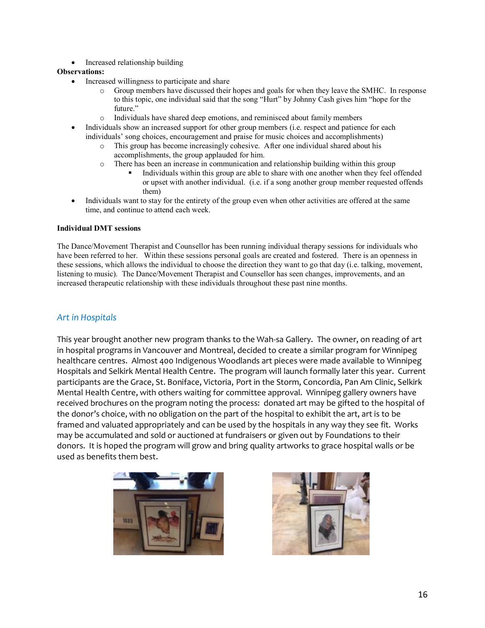• Increased relationship building

#### **Observations:**

- Increased willingness to participate and share
	- o Group members have discussed their hopes and goals for when they leave the SMHC. In response to this topic, one individual said that the song "Hurt" by Johnny Cash gives him "hope for the future."
	- o Individuals have shared deep emotions, and reminisced about family members
- Individuals show an increased support for other group members (i.e. respect and patience for each individuals' song choices, encouragement and praise for music choices and accomplishments)
	- o This group has become increasingly cohesive. After one individual shared about his accomplishments, the group applauded for him.
	- o There has been an increase in communication and relationship building within this group
		- Individuals within this group are able to share with one another when they feel offended or upset with another individual. (i.e. if a song another group member requested offends them)
- Individuals want to stay for the entirety of the group even when other activities are offered at the same time, and continue to attend each week.

#### **Individual DMT sessions**

The Dance/Movement Therapist and Counsellor has been running individual therapy sessions for individuals who have been referred to her. Within these sessions personal goals are created and fostered. There is an openness in these sessions, which allows the individual to choose the direction they want to go that day (i.e. talking, movement, listening to music). The Dance/Movement Therapist and Counsellor has seen changes, improvements, and an increased therapeutic relationship with these individuals throughout these past nine months.

## *Art in Hospitals*

This year brought another new program thanks to the Wah-sa Gallery. The owner, on reading of art in hospital programs in Vancouver and Montreal, decided to create a similar program for Winnipeg healthcare centres. Almost 400 Indigenous Woodlands art pieces were made available to Winnipeg Hospitals and Selkirk Mental Health Centre. The program will launch formally later this year. Current participants are the Grace, St. Boniface, Victoria, Port in the Storm, Concordia, Pan Am Clinic, Selkirk Mental Health Centre, with others waiting for committee approval. Winnipeg gallery owners have received brochures on the program noting the process: donated art may be gifted to the hospital of the donor's choice, with no obligation on the part of the hospital to exhibit the art, art is to be framed and valuated appropriately and can be used by the hospitals in any way they see fit. Works may be accumulated and sold or auctioned at fundraisers or given out by Foundations to their donors. It is hoped the program will grow and bring quality artworks to grace hospital walls or be used as benefits them best.



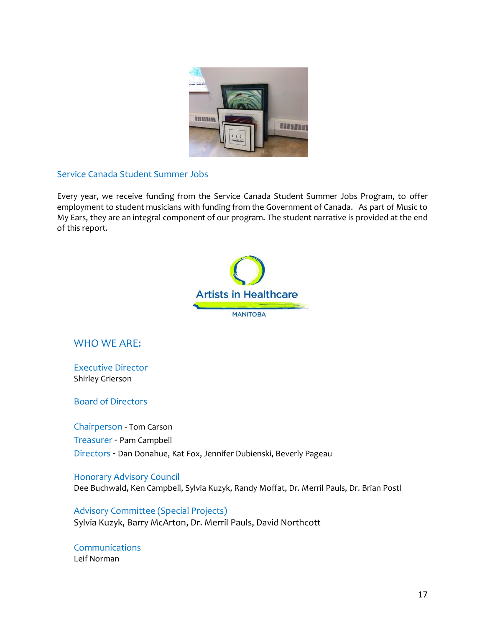

## Service Canada Student Summer Jobs

Every year, we receive funding from the Service Canada Student Summer Jobs Program, to offer employment to student musicians with funding from the Government of Canada. As part of Music to My Ears, they are an integral component of our program. The student narrative is provided at the end of this report.



# WHO WF ARE:

Executive Director Shirley Grierson

Board of Directors

Chairperson - Tom Carson Treasurer - Pam Campbell Directors - Dan Donahue, Kat Fox, Jennifer Dubienski, Beverly Pageau

Honorary Advisory Council Dee Buchwald, Ken Campbell, Sylvia Kuzyk, Randy Moffat, Dr. Merril Pauls, Dr. Brian Postl

Advisory Committee (Special Projects) Sylvia Kuzyk, Barry McArton, Dr. Merril Pauls, David Northcott

**Communications** Leif Norman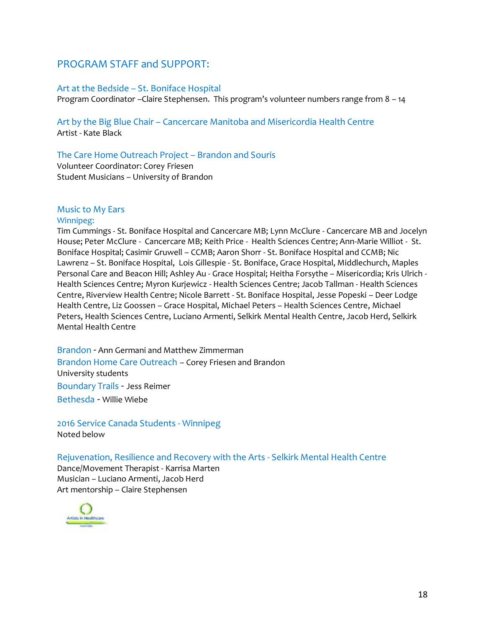# PROGRAM STAFF and SUPPORT:

#### Art at the Bedside – St. Boniface Hospital

Program Coordinator –Claire Stephensen. This program's volunteer numbers range from 8 – 14

Art by the Big Blue Chair – Cancercare Manitoba and Misericordia Health Centre Artist - Kate Black

## The Care Home Outreach Project – Brandon and Souris

Volunteer Coordinator: Corey Friesen Student Musicians – University of Brandon

## Music to My Ears

#### Winnipeg:

Tim Cummings - St. Boniface Hospital and Cancercare MB; Lynn McClure - Cancercare MB and Jocelyn House; Peter McClure - Cancercare MB; Keith Price - Health Sciences Centre; Ann-Marie Williot - St. Boniface Hospital; Casimir Gruwell – CCMB; Aaron Shorr - St. Boniface Hospital and CCMB; Nic Lawrenz – St. Boniface Hospital, Lois Gillespie - St. Boniface, Grace Hospital, Middlechurch, Maples Personal Care and Beacon Hill; Ashley Au - Grace Hospital; Heitha Forsythe – Misericordia; Kris Ulrich - Health Sciences Centre; Myron Kurjewicz - Health Sciences Centre; Jacob Tallman - Health Sciences Centre, Riverview Health Centre; Nicole Barrett - St. Boniface Hospital, Jesse Popeski – Deer Lodge Health Centre, Liz Goossen – Grace Hospital, Michael Peters – Health Sciences Centre, Michael Peters, Health Sciences Centre, Luciano Armenti, Selkirk Mental Health Centre, Jacob Herd, Selkirk Mental Health Centre

Brandon - Ann Germani and Matthew Zimmerman Brandon Home Care Outreach – Corey Friesen and Brandon University students Boundary Trails - Jess Reimer Bethesda - Willie Wiebe

2016 Service Canada Students - Winnipeg Noted below

#### Rejuvenation, Resilience and Recovery with the Arts - Selkirk Mental Health Centre

Dance/Movement Therapist - Karrisa Marten Musician – Luciano Armenti, Jacob Herd Art mentorship – Claire Stephensen

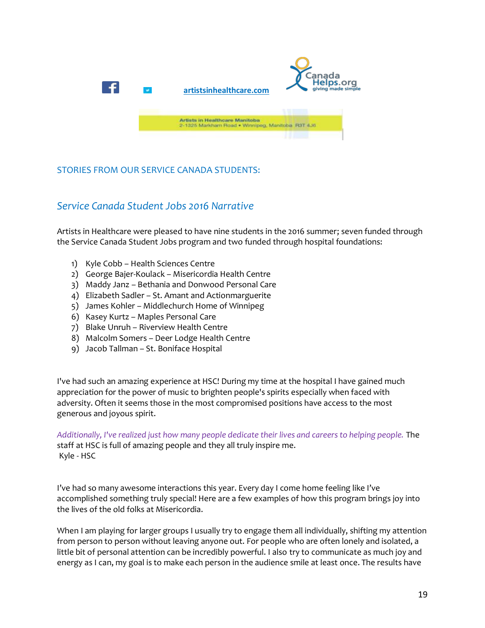

# STORIES FROM OUR SERVICE CANADA STUDENTS:

# *Service Canada Student Jobs 2016 Narrative*

Artists in Healthcare were pleased to have nine students in the 2016 summer; seven funded through the Service Canada Student Jobs program and two funded through hospital foundations:

- 1) Kyle Cobb Health Sciences Centre
- 2) George Bajer-Koulack Misericordia Health Centre
- 3) Maddy Janz Bethania and Donwood Personal Care
- 4) Elizabeth Sadler St. Amant and Actionmarguerite
- 5) James Kohler Middlechurch Home of Winnipeg
- 6) Kasey Kurtz Maples Personal Care
- 7) Blake Unruh Riverview Health Centre
- 8) Malcolm Somers Deer Lodge Health Centre
- 9) Jacob Tallman St. Boniface Hospital

I've had such an amazing experience at HSC! During my time at the hospital I have gained much appreciation for the power of music to brighten people's spirits especially when faced with adversity. Often it seems those in the most compromised positions have access to the most generous and joyous spirit.

*Additionally, I've realized just how many people dedicate their lives and careers to helping people.* The staff at HSC is full of amazing people and they all truly inspire me. Kyle - HSC

I've had so many awesome interactions this year. Every day I come home feeling like I've accomplished something truly special! Here are a few examples of how this program brings joy into the lives of the old folks at Misericordia.

When I am playing for larger groups I usually try to engage them all individually, shifting my attention from person to person without leaving anyone out. For people who are often lonely and isolated, a little bit of personal attention can be incredibly powerful. I also try to communicate as much joy and energy as I can, my goal is to make each person in the audience smile at least once. The results have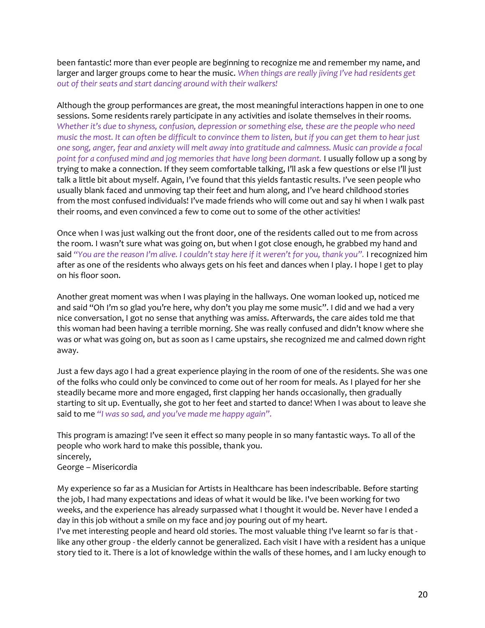been fantastic! more than ever people are beginning to recognize me and remember my name, and larger and larger groups come to hear the music. *When things are really jiving I've had residents get out of their seats and start dancing around with their walkers!*

Although the group performances are great, the most meaningful interactions happen in one to one sessions. Some residents rarely participate in any activities and isolate themselves in their rooms. *Whether it's due to shyness, confusion, depression or something else, these are the people who need music the most. It can often be difficult to convince them to listen, but if you can get them to hear just one song, anger, fear and anxiety will melt away into gratitude and calmness. Music can provide a focal*  point for a confused mind and jog memories that have long been dormant. I usually follow up a song by trying to make a connection. If they seem comfortable talking, I'll ask a few questions or else I'll just talk a little bit about myself. Again, I've found that this yields fantastic results. I've seen people who usually blank faced and unmoving tap their feet and hum along, and I've heard childhood stories from the most confused individuals! I've made friends who will come out and say hi when I walk past their rooms, and even convinced a few to come out to some of the other activities!

Once when I was just walking out the front door, one of the residents called out to me from across the room. I wasn't sure what was going on, but when I got close enough, he grabbed my hand and said *"You are the reason I'm alive. I couldn't stay here if it weren't for you, thank you".* I recognized him after as one of the residents who always gets on his feet and dances when I play. I hope I get to play on his floor soon.

Another great moment was when I was playing in the hallways. One woman looked up, noticed me and said "Oh I'm so glad you're here, why don't you play me some music". I did and we had a very nice conversation, I got no sense that anything was amiss. Afterwards, the care aides told me that this woman had been having a terrible morning. She was really confused and didn't know where she was or what was going on, but as soon as I came upstairs, she recognized me and calmed down right away.

Just a few days ago I had a great experience playing in the room of one of the residents. She was one of the folks who could only be convinced to come out of her room for meals. As I played for her she steadily became more and more engaged, first clapping her hands occasionally, then gradually starting to sit up. Eventually, she got to her feet and started to dance! When I was about to leave she said to me *"I was so sad, and you've made me happy again".*

This program is amazing! I've seen it effect so many people in so many fantastic ways. To all of the people who work hard to make this possible, thank you. sincerely, George – Misericordia

My experience so far as a Musician for Artists in Healthcare has been indescribable. Before starting the job, I had many expectations and ideas of what it would be like. I've been working for two weeks, and the experience has already surpassed what I thought it would be. Never have I ended a day in this job without a smile on my face and joy pouring out of my heart.

I've met interesting people and heard old stories. The most valuable thing I've learnt so far is that like any other group - the elderly cannot be generalized. Each visit I have with a resident has a unique story tied to it. There is a lot of knowledge within the walls of these homes, and I am lucky enough to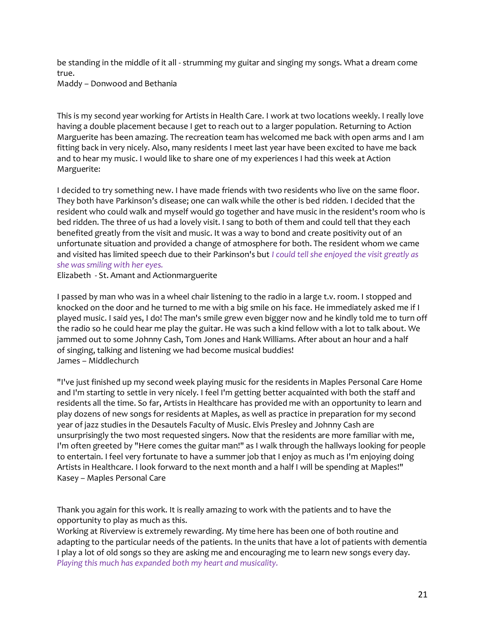be standing in the middle of it all - strumming my guitar and singing my songs. What a dream come true.

Maddy – Donwood and Bethania

This is my second year working for Artists in Health Care. I work at two locations weekly. I really love having a double placement because I get to reach out to a larger population. Returning to Action Marguerite has been amazing. The recreation team has welcomed me back with open arms and I am fitting back in very nicely. Also, many residents I meet last year have been excited to have me back and to hear my music. I would like to share one of my experiences I had this week at Action Marguerite:

I decided to try something new. I have made friends with two residents who live on the same floor. They both have Parkinson's disease; one can walk while the other is bed ridden. I decided that the resident who could walk and myself would go together and have music in the resident's room who is bed ridden. The three of us had a lovely visit. I sang to both of them and could tell that they each benefited greatly from the visit and music. It was a way to bond and create positivity out of an unfortunate situation and provided a change of atmosphere for both. The resident whom we came and visited has limited speech due to their Parkinson's but *I could tell she enjoyed the visit greatly as she was smiling with her eyes.*

Elizabeth - St. Amant and Actionmarguerite

I passed by man who was in a wheel chair listening to the radio in a large t.v. room. I stopped and knocked on the door and he turned to me with a big smile on his face. He immediately asked me if I played music. I said yes, I do! The man's smile grew even bigger now and he kindly told me to turn off the radio so he could hear me play the guitar. He was such a kind fellow with a lot to talk about. We jammed out to some Johnny Cash, Tom Jones and Hank Williams. After about an hour and a half of singing, talking and listening we had become musical buddies! James – Middlechurch

"I've just finished up my second week playing music for the residents in Maples Personal Care Home and I'm starting to settle in very nicely. I feel I'm getting better acquainted with both the staff and residents all the time. So far, Artists in Healthcare has provided me with an opportunity to learn and play dozens of new songs for residents at Maples, as well as practice in preparation for my second year of jazz studies in the Desautels Faculty of Music. Elvis Presley and Johnny Cash are unsurprisingly the two most requested singers. Now that the residents are more familiar with me, I'm often greeted by "Here comes the guitar man!" as I walk through the hallways looking for people to entertain. I feel very fortunate to have a summer job that I enjoy as much as I'm enjoying doing Artists in Healthcare. I look forward to the next month and a half I will be spending at Maples!" Kasey – Maples Personal Care

Thank you again for this work. It is really amazing to work with the patients and to have the opportunity to play as much as this.

Working at Riverview is extremely rewarding. My time here has been one of both routine and adapting to the particular needs of the patients. In the units that have a lot of patients with dementia I play a lot of old songs so they are asking me and encouraging me to learn new songs every day. *Playing this much has expanded both my heart and musicality.*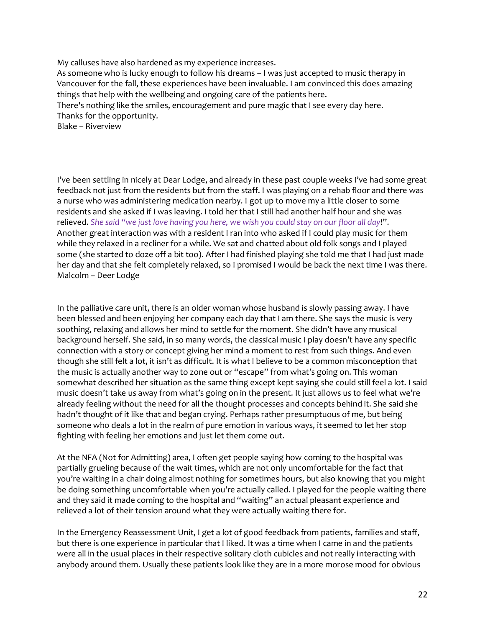My calluses have also hardened as my experience increases. As someone who is lucky enough to follow his dreams – I was just accepted to music therapy in Vancouver for the fall, these experiences have been invaluable. I am convinced this does amazing things that help with the wellbeing and ongoing care of the patients here. There's nothing like the smiles, encouragement and pure magic that I see every day here. Thanks for the opportunity. Blake – Riverview

I've been settling in nicely at Dear Lodge, and already in these past couple weeks I've had some great feedback not just from the residents but from the staff. I was playing on a rehab floor and there was a nurse who was administering medication nearby. I got up to move my a little closer to some residents and she asked if I was leaving. I told her that I still had another half hour and she was relieved. *She said "we just love having you here, we wish you could stay on our floor all day*!". Another great interaction was with a resident I ran into who asked if I could play music for them while they relaxed in a recliner for a while. We sat and chatted about old folk songs and I played some (she started to doze off a bit too). After I had finished playing she told me that I had just made her day and that she felt completely relaxed, so I promised I would be back the next time I was there. Malcolm – Deer Lodge

In the palliative care unit, there is an older woman whose husband is slowly passing away. I have been blessed and been enjoying her company each day that I am there. She says the music is very soothing, relaxing and allows her mind to settle for the moment. She didn't have any musical background herself. She said, in so many words, the classical music I play doesn't have any specific connection with a story or concept giving her mind a moment to rest from such things. And even though she still felt a lot, it isn't as difficult. It is what I believe to be a common misconception that the music is actually another way to zone out or "escape" from what's going on. This woman somewhat described her situation as the same thing except kept saying she could still feel a lot. I said music doesn't take us away from what's going on in the present. It just allows us to feel what we're already feeling without the need for all the thought processes and concepts behind it. She said she hadn't thought of it like that and began crying. Perhaps rather presumptuous of me, but being someone who deals a lot in the realm of pure emotion in various ways, it seemed to let her stop fighting with feeling her emotions and just let them come out.

At the NFA (Not for Admitting) area, I often get people saying how coming to the hospital was partially grueling because of the wait times, which are not only uncomfortable for the fact that you're waiting in a chair doing almost nothing for sometimes hours, but also knowing that you might be doing something uncomfortable when you're actually called. I played for the people waiting there and they said it made coming to the hospital and "waiting" an actual pleasant experience and relieved a lot of their tension around what they were actually waiting there for.

In the Emergency Reassessment Unit, I get a lot of good feedback from patients, families and staff, but there is one experience in particular that I liked. It was a time when I came in and the patients were all in the usual places in their respective solitary cloth cubicles and not really interacting with anybody around them. Usually these patients look like they are in a more morose mood for obvious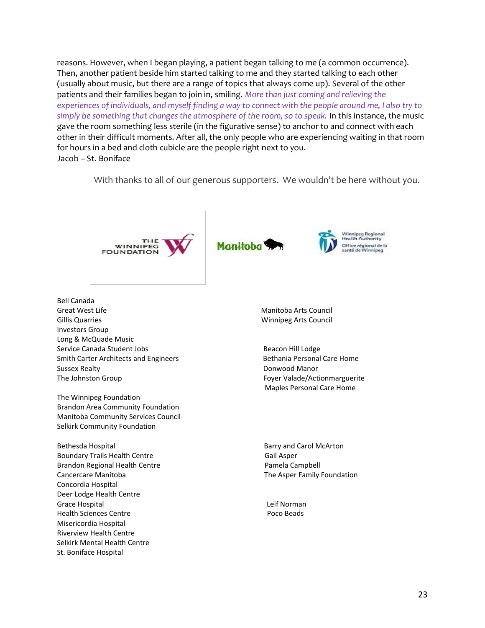reasons. However, when I began playing, a patient began talking to me (a common occurrence). Then, another patient beside him started talking to me and they started talking to each other (usually about music, but there are a range of topics that always come up). Several of the other patients and their families began to join in, smiling. *More than just coming and relieving the experiences of individuals, and myself finding a way to connect with the people around me, I also try to simply be something that changes the atmosphere of the room, so to speak.* In this instance, the music gave the room something less sterile (in the figurative sense) to anchor to and connect with each other in their difficult moments. After all, the only people who are experiencing waiting in that room for hours in a bed and cloth cubicle are the people right next to you. Jacob – St. Boniface

With thanks to all of our generous supporters. We wouldn't be here without you.



Bell Canada Great West Life **Manufacture Council** Creat West Life Manitoba Arts Council Gillis Quarries Winnipeg Arts Council Investors Group Long & McQuade Music Service Canada Student Jobs **Beacon Hill Lodge** Beacon Hill Lodge Smith Carter Architects and Engineers Bethania Personal Care Home Sussex Realty **Donwood Manor** The Johnston Group **Foyer Valade/Actionmarguerite** 

The Winnipeg Foundation Brandon Area Community Foundation Manitoba Community Services Council Selkirk Community Foundation

Bethesda Hospital Barry and Carol McArton Boundary Trails Health Centre Gail Asper Brandon Regional Health Centre **Pamela Campbell** Pamela Campbell Cancercare Manitoba **The Asper Family Foundation** Concordia Hospital Deer Lodge Health Centre Grace Hospital **Lexity** Crace Hospital **Lexity** Crace **Lexity** Crace **Lexity** Crace **Lexity** Crace **Lexity** Crace **Lexity** Crace **Lexity** Crace **Lexity** Crace **Lexity** Crace **Lexity** Crace **Lexity** Crace **Lexity** Crace **Le** Health Sciences Centre **Poco Beads** Misericordia Hospital Riverview Health Centre Selkirk Mental Health Centre St. Boniface Hospital

Maples Personal Care Home